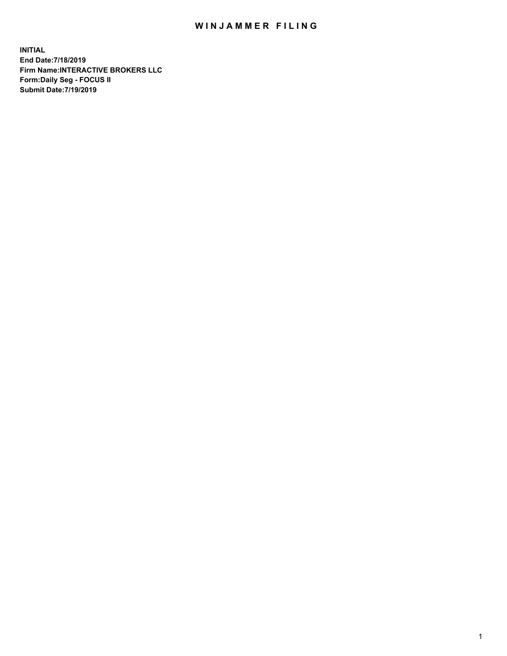## WIN JAMMER FILING

**INITIAL End Date:7/18/2019 Firm Name:INTERACTIVE BROKERS LLC Form:Daily Seg - FOCUS II Submit Date:7/19/2019**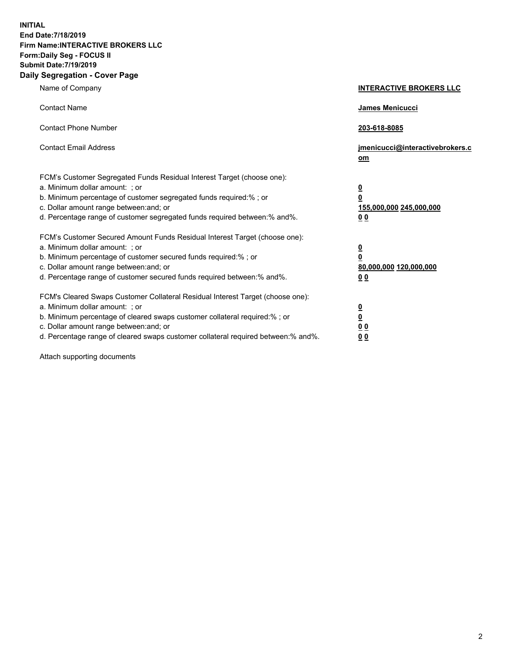**INITIAL End Date:7/18/2019 Firm Name:INTERACTIVE BROKERS LLC Form:Daily Seg - FOCUS II Submit Date:7/19/2019 Daily Segregation - Cover Page**

| Name of Company                                                                                                                                                                                                                                                                                                                | <b>INTERACTIVE BROKERS LLC</b>                                                                  |
|--------------------------------------------------------------------------------------------------------------------------------------------------------------------------------------------------------------------------------------------------------------------------------------------------------------------------------|-------------------------------------------------------------------------------------------------|
| <b>Contact Name</b>                                                                                                                                                                                                                                                                                                            | James Menicucci                                                                                 |
| <b>Contact Phone Number</b>                                                                                                                                                                                                                                                                                                    | 203-618-8085                                                                                    |
| <b>Contact Email Address</b>                                                                                                                                                                                                                                                                                                   | jmenicucci@interactivebrokers.c<br>om                                                           |
| FCM's Customer Segregated Funds Residual Interest Target (choose one):<br>a. Minimum dollar amount: ; or<br>b. Minimum percentage of customer segregated funds required:% ; or<br>c. Dollar amount range between: and; or<br>d. Percentage range of customer segregated funds required between:% and%.                         | $\overline{\mathbf{0}}$<br>$\overline{\mathbf{0}}$<br>155,000,000 245,000,000<br>0 <sub>0</sub> |
| FCM's Customer Secured Amount Funds Residual Interest Target (choose one):<br>a. Minimum dollar amount: ; or<br>b. Minimum percentage of customer secured funds required:% ; or<br>c. Dollar amount range between: and; or<br>d. Percentage range of customer secured funds required between:% and%.                           | $\overline{\mathbf{0}}$<br>0<br>80,000,000 120,000,000<br>0 <sub>0</sub>                        |
| FCM's Cleared Swaps Customer Collateral Residual Interest Target (choose one):<br>a. Minimum dollar amount: ; or<br>b. Minimum percentage of cleared swaps customer collateral required:% ; or<br>c. Dollar amount range between: and; or<br>d. Percentage range of cleared swaps customer collateral required between:% and%. | $\overline{\mathbf{0}}$<br><u>0</u><br>$\underline{0}$ $\underline{0}$<br>00                    |

Attach supporting documents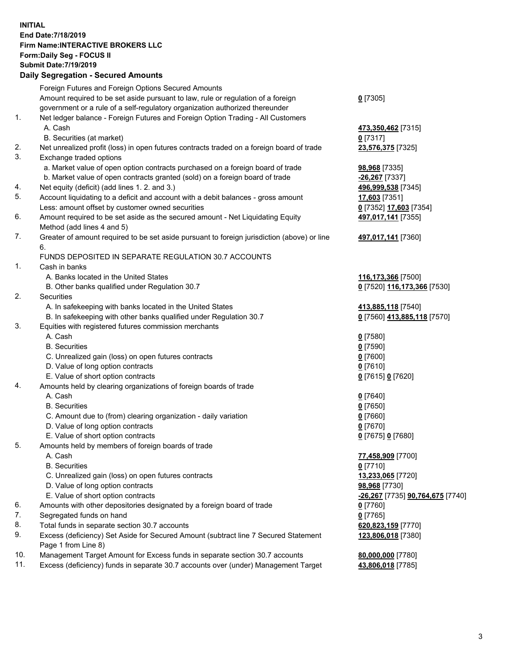## **INITIAL End Date:7/18/2019 Firm Name:INTERACTIVE BROKERS LLC Form:Daily Seg - FOCUS II Submit Date:7/19/2019 Daily Segregation - Secured Amounts**

|     | Daily Segregation - Secured Aniounts                                                        |                                                |
|-----|---------------------------------------------------------------------------------------------|------------------------------------------------|
|     | Foreign Futures and Foreign Options Secured Amounts                                         |                                                |
|     | Amount required to be set aside pursuant to law, rule or regulation of a foreign            | $0$ [7305]                                     |
|     | government or a rule of a self-regulatory organization authorized thereunder                |                                                |
| 1.  | Net ledger balance - Foreign Futures and Foreign Option Trading - All Customers             |                                                |
|     | A. Cash                                                                                     | 473,350,462 [7315]                             |
|     | B. Securities (at market)                                                                   | $0$ [7317]                                     |
| 2.  | Net unrealized profit (loss) in open futures contracts traded on a foreign board of trade   | 23,576,375 [7325]                              |
| 3.  | Exchange traded options                                                                     |                                                |
|     | a. Market value of open option contracts purchased on a foreign board of trade              | 98,968 [7335]                                  |
|     | b. Market value of open contracts granted (sold) on a foreign board of trade                | -26,267 [7337]                                 |
| 4.  | Net equity (deficit) (add lines 1.2. and 3.)                                                | 496,999,538 [7345]                             |
| 5.  | Account liquidating to a deficit and account with a debit balances - gross amount           | 17,603 [7351]                                  |
|     | Less: amount offset by customer owned securities                                            | 0 [7352] 17,603 [7354]                         |
| 6.  | Amount required to be set aside as the secured amount - Net Liquidating Equity              | 497,017,141 [7355]                             |
|     | Method (add lines 4 and 5)                                                                  |                                                |
| 7.  | Greater of amount required to be set aside pursuant to foreign jurisdiction (above) or line | 497,017,141 [7360]                             |
|     | 6.                                                                                          |                                                |
|     | FUNDS DEPOSITED IN SEPARATE REGULATION 30.7 ACCOUNTS                                        |                                                |
| 1.  | Cash in banks                                                                               |                                                |
|     | A. Banks located in the United States                                                       | 116,173,366 [7500]                             |
|     | B. Other banks qualified under Regulation 30.7                                              | 0 [7520] 116,173,366 [7530]                    |
| 2.  | Securities                                                                                  |                                                |
|     | A. In safekeeping with banks located in the United States                                   | 413,885,118 [7540]                             |
|     | B. In safekeeping with other banks qualified under Regulation 30.7                          | 0 [7560] 413,885,118 [7570]                    |
| 3.  | Equities with registered futures commission merchants                                       |                                                |
|     | A. Cash                                                                                     | $0$ [7580]                                     |
|     | <b>B.</b> Securities                                                                        | $0$ [7590]                                     |
|     | C. Unrealized gain (loss) on open futures contracts                                         | $0$ [7600]                                     |
|     | D. Value of long option contracts                                                           | $0$ [7610]                                     |
|     | E. Value of short option contracts                                                          | 0 [7615] 0 [7620]                              |
| 4.  | Amounts held by clearing organizations of foreign boards of trade                           |                                                |
|     | A. Cash                                                                                     | $0$ [7640]                                     |
|     | <b>B.</b> Securities                                                                        | $0$ [7650]                                     |
|     | C. Amount due to (from) clearing organization - daily variation                             | $0$ [7660]                                     |
|     | D. Value of long option contracts                                                           | $0$ [7670]                                     |
| 5.  | E. Value of short option contracts                                                          | 0 [7675] 0 [7680]                              |
|     | Amounts held by members of foreign boards of trade                                          |                                                |
|     | A. Cash<br><b>B.</b> Securities                                                             | 77,458,909 [7700]<br>$0$ [7710]                |
|     | C. Unrealized gain (loss) on open futures contracts                                         | 13,233,065 [7720]                              |
|     | D. Value of long option contracts                                                           | 98,968 [7730]                                  |
|     | E. Value of short option contracts                                                          | <u>-26,267</u> [7735] <b>90,764,675</b> [7740] |
| 6.  | Amounts with other depositories designated by a foreign board of trade                      | 0 [7760]                                       |
| 7.  | Segregated funds on hand                                                                    | $0$ [7765]                                     |
| 8.  | Total funds in separate section 30.7 accounts                                               | 620,823,159 [7770]                             |
| 9.  | Excess (deficiency) Set Aside for Secured Amount (subtract line 7 Secured Statement         | 123,806,018 [7380]                             |
|     | Page 1 from Line 8)                                                                         |                                                |
| 10. | Management Target Amount for Excess funds in separate section 30.7 accounts                 | 80,000,000 [7780]                              |
| 11. | Excess (deficiency) funds in separate 30.7 accounts over (under) Management Target          | 43,806,018 [7785]                              |
|     |                                                                                             |                                                |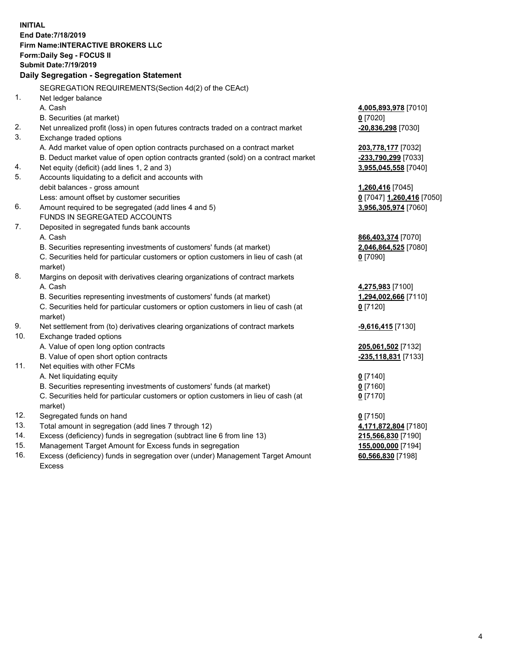**INITIAL End Date:7/18/2019 Firm Name:INTERACTIVE BROKERS LLC Form:Daily Seg - FOCUS II Submit Date:7/19/2019 Daily Segregation - Segregation Statement** SEGREGATION REQUIREMENTS(Section 4d(2) of the CEAct) 1. Net ledger balance A. Cash **4,005,893,978** [7010] B. Securities (at market) **0** [7020] 2. Net unrealized profit (loss) in open futures contracts traded on a contract market **-20,836,298** [7030] 3. Exchange traded options A. Add market value of open option contracts purchased on a contract market **203,778,177** [7032] B. Deduct market value of open option contracts granted (sold) on a contract market **-233,790,299** [7033] 4. Net equity (deficit) (add lines 1, 2 and 3) **3,955,045,558** [7040] 5. Accounts liquidating to a deficit and accounts with debit balances - gross amount **1,260,416** [7045] Less: amount offset by customer securities **0** [7047] **1,260,416** [7050] 6. Amount required to be segregated (add lines 4 and 5) **3,956,305,974** [7060] FUNDS IN SEGREGATED ACCOUNTS 7. Deposited in segregated funds bank accounts A. Cash **866,403,374** [7070] B. Securities representing investments of customers' funds (at market) **2,046,864,525** [7080] C. Securities held for particular customers or option customers in lieu of cash (at market) **0** [7090] 8. Margins on deposit with derivatives clearing organizations of contract markets A. Cash **4,275,983** [7100] B. Securities representing investments of customers' funds (at market) **1,294,002,666** [7110] C. Securities held for particular customers or option customers in lieu of cash (at market) **0** [7120] 9. Net settlement from (to) derivatives clearing organizations of contract markets **-9,616,415** [7130] 10. Exchange traded options A. Value of open long option contracts **205,061,502** [7132] B. Value of open short option contracts **-235,118,831** [7133] 11. Net equities with other FCMs A. Net liquidating equity **0** [7140] B. Securities representing investments of customers' funds (at market) **0** [7160] C. Securities held for particular customers or option customers in lieu of cash (at market) **0** [7170] 12. Segregated funds on hand **0** [7150] 13. Total amount in segregation (add lines 7 through 12) **4,171,872,804** [7180] 14. Excess (deficiency) funds in segregation (subtract line 6 from line 13) **215,566,830** [7190] 15. Management Target Amount for Excess funds in segregation **155,000,000** [7194]

16. Excess (deficiency) funds in segregation over (under) Management Target Amount Excess

**60,566,830** [7198]